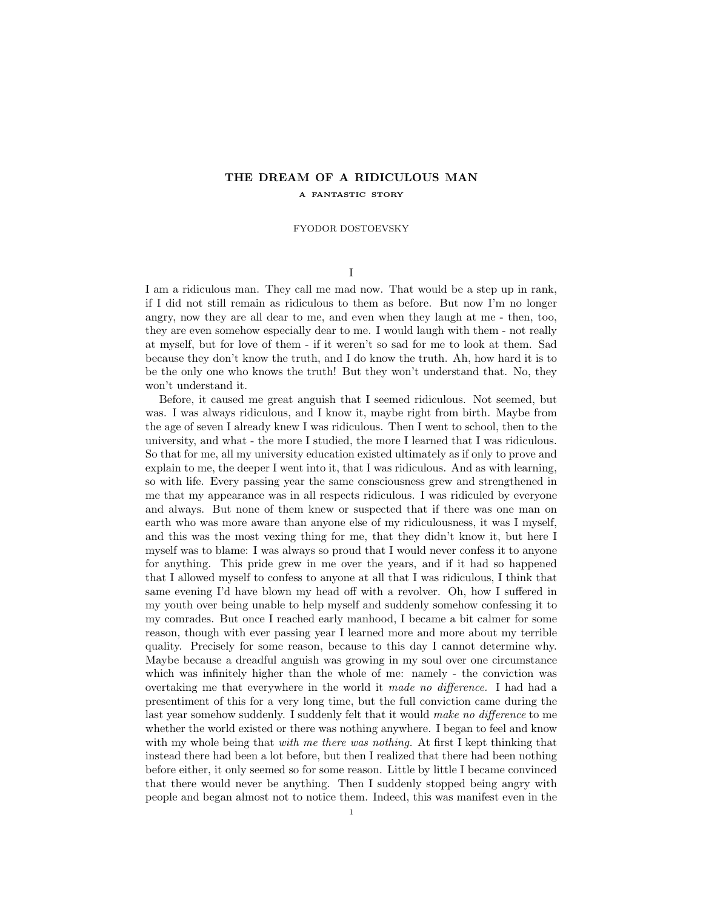# THE DREAM OF A RIDICULOUS MAN A FANTASTIC STORY

## FYODOR DOSTOEVSKY

I

I am a ridiculous man. They call me mad now. That would be a step up in rank, if I did not still remain as ridiculous to them as before. But now I'm no longer angry, now they are all dear to me, and even when they laugh at me - then, too, they are even somehow especially dear to me. I would laugh with them - not really at myself, but for love of them - if it weren't so sad for me to look at them. Sad because they don't know the truth, and I do know the truth. Ah, how hard it is to be the only one who knows the truth! But they won't understand that. No, they won't understand it.

Before, it caused me great anguish that I seemed ridiculous. Not seemed, but was. I was always ridiculous, and I know it, maybe right from birth. Maybe from the age of seven I already knew I was ridiculous. Then I went to school, then to the university, and what - the more I studied, the more I learned that I was ridiculous. So that for me, all my university education existed ultimately as if only to prove and explain to me, the deeper I went into it, that I was ridiculous. And as with learning, so with life. Every passing year the same consciousness grew and strengthened in me that my appearance was in all respects ridiculous. I was ridiculed by everyone and always. But none of them knew or suspected that if there was one man on earth who was more aware than anyone else of my ridiculousness, it was I myself, and this was the most vexing thing for me, that they didn't know it, but here I myself was to blame: I was always so proud that I would never confess it to anyone for anything. This pride grew in me over the years, and if it had so happened that I allowed myself to confess to anyone at all that I was ridiculous, I think that same evening I'd have blown my head off with a revolver. Oh, how I suffered in my youth over being unable to help myself and suddenly somehow confessing it to my comrades. But once I reached early manhood, I became a bit calmer for some reason, though with ever passing year I learned more and more about my terrible quality. Precisely for some reason, because to this day I cannot determine why. Maybe because a dreadful anguish was growing in my soul over one circumstance which was infinitely higher than the whole of me: namely - the conviction was overtaking me that everywhere in the world it made no difference. I had had a presentiment of this for a very long time, but the full conviction came during the last year somehow suddenly. I suddenly felt that it would make no difference to me whether the world existed or there was nothing anywhere. I began to feel and know with my whole being that *with me there was nothing*. At first I kept thinking that instead there had been a lot before, but then I realized that there had been nothing before either, it only seemed so for some reason. Little by little I became convinced that there would never be anything. Then I suddenly stopped being angry with people and began almost not to notice them. Indeed, this was manifest even in the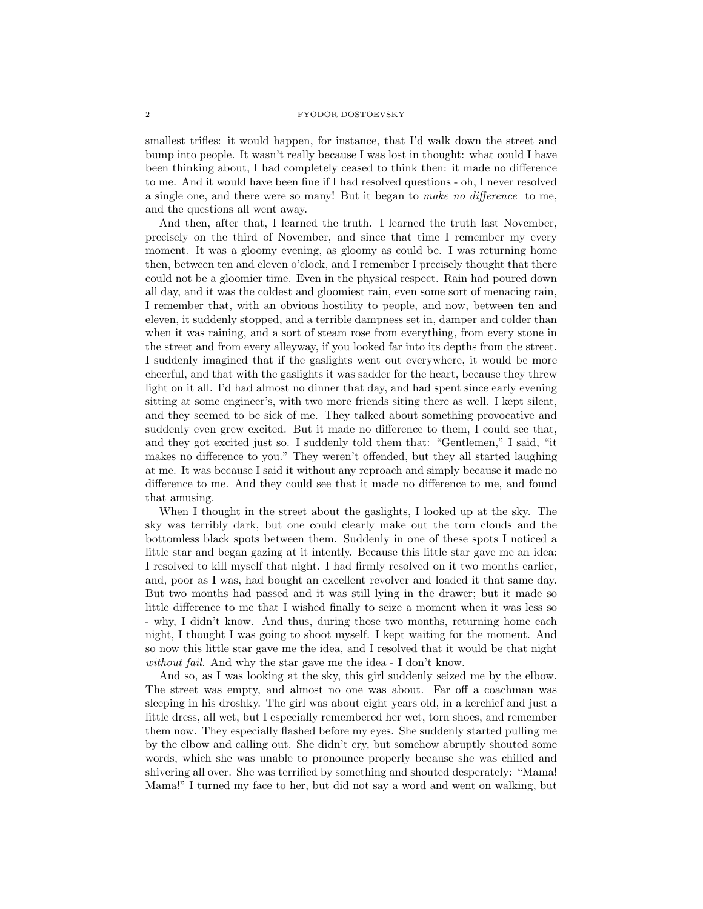smallest trifles: it would happen, for instance, that I'd walk down the street and bump into people. It wasn't really because I was lost in thought: what could I have been thinking about, I had completely ceased to think then: it made no difference to me. And it would have been fine if I had resolved questions - oh, I never resolved a single one, and there were so many! But it began to make no difference to me, and the questions all went away.

And then, after that, I learned the truth. I learned the truth last November, precisely on the third of November, and since that time I remember my every moment. It was a gloomy evening, as gloomy as could be. I was returning home then, between ten and eleven o'clock, and I remember I precisely thought that there could not be a gloomier time. Even in the physical respect. Rain had poured down all day, and it was the coldest and gloomiest rain, even some sort of menacing rain, I remember that, with an obvious hostility to people, and now, between ten and eleven, it suddenly stopped, and a terrible dampness set in, damper and colder than when it was raining, and a sort of steam rose from everything, from every stone in the street and from every alleyway, if you looked far into its depths from the street. I suddenly imagined that if the gaslights went out everywhere, it would be more cheerful, and that with the gaslights it was sadder for the heart, because they threw light on it all. I'd had almost no dinner that day, and had spent since early evening sitting at some engineer's, with two more friends siting there as well. I kept silent, and they seemed to be sick of me. They talked about something provocative and suddenly even grew excited. But it made no difference to them, I could see that, and they got excited just so. I suddenly told them that: "Gentlemen," I said, "it makes no difference to you." They weren't offended, but they all started laughing at me. It was because I said it without any reproach and simply because it made no difference to me. And they could see that it made no difference to me, and found that amusing.

When I thought in the street about the gaslights, I looked up at the sky. The sky was terribly dark, but one could clearly make out the torn clouds and the bottomless black spots between them. Suddenly in one of these spots I noticed a little star and began gazing at it intently. Because this little star gave me an idea: I resolved to kill myself that night. I had firmly resolved on it two months earlier, and, poor as I was, had bought an excellent revolver and loaded it that same day. But two months had passed and it was still lying in the drawer; but it made so little difference to me that I wished finally to seize a moment when it was less so - why, I didn't know. And thus, during those two months, returning home each night, I thought I was going to shoot myself. I kept waiting for the moment. And so now this little star gave me the idea, and I resolved that it would be that night without fail. And why the star gave me the idea - I don't know.

And so, as I was looking at the sky, this girl suddenly seized me by the elbow. The street was empty, and almost no one was about. Far off a coachman was sleeping in his droshky. The girl was about eight years old, in a kerchief and just a little dress, all wet, but I especially remembered her wet, torn shoes, and remember them now. They especially flashed before my eyes. She suddenly started pulling me by the elbow and calling out. She didn't cry, but somehow abruptly shouted some words, which she was unable to pronounce properly because she was chilled and shivering all over. She was terrified by something and shouted desperately: "Mama! Mama!" I turned my face to her, but did not say a word and went on walking, but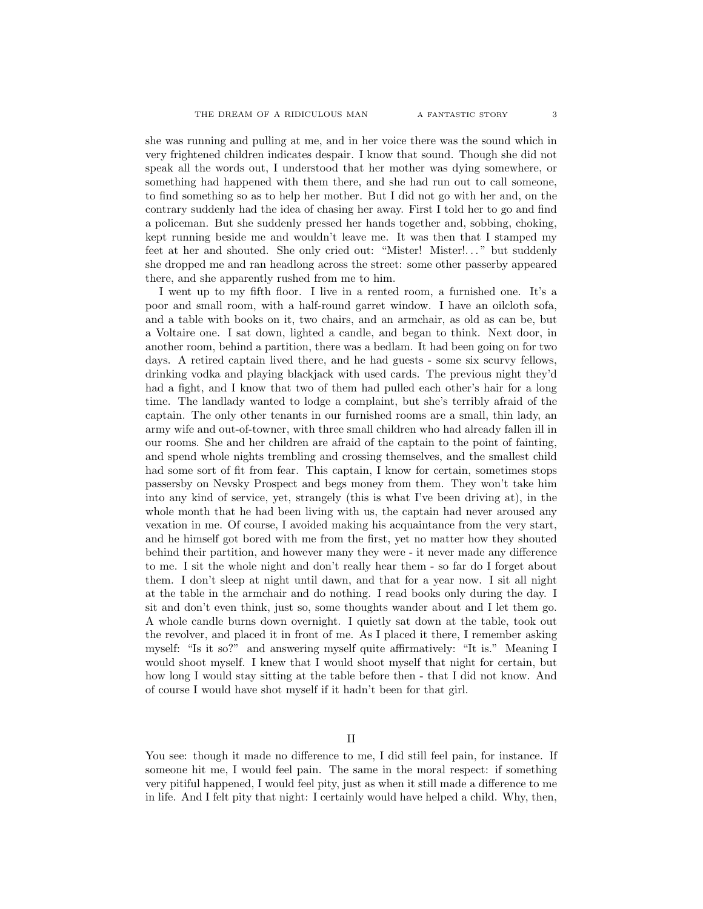she was running and pulling at me, and in her voice there was the sound which in very frightened children indicates despair. I know that sound. Though she did not speak all the words out, I understood that her mother was dying somewhere, or something had happened with them there, and she had run out to call someone, to find something so as to help her mother. But I did not go with her and, on the contrary suddenly had the idea of chasing her away. First I told her to go and find a policeman. But she suddenly pressed her hands together and, sobbing, choking, kept running beside me and wouldn't leave me. It was then that I stamped my feet at her and shouted. She only cried out: "Mister! Mister!. . . " but suddenly she dropped me and ran headlong across the street: some other passerby appeared there, and she apparently rushed from me to him.

I went up to my fifth floor. I live in a rented room, a furnished one. It's a poor and small room, with a half-round garret window. I have an oilcloth sofa, and a table with books on it, two chairs, and an armchair, as old as can be, but a Voltaire one. I sat down, lighted a candle, and began to think. Next door, in another room, behind a partition, there was a bedlam. It had been going on for two days. A retired captain lived there, and he had guests - some six scurvy fellows, drinking vodka and playing blackjack with used cards. The previous night they'd had a fight, and I know that two of them had pulled each other's hair for a long time. The landlady wanted to lodge a complaint, but she's terribly afraid of the captain. The only other tenants in our furnished rooms are a small, thin lady, an army wife and out-of-towner, with three small children who had already fallen ill in our rooms. She and her children are afraid of the captain to the point of fainting, and spend whole nights trembling and crossing themselves, and the smallest child had some sort of fit from fear. This captain, I know for certain, sometimes stops passersby on Nevsky Prospect and begs money from them. They won't take him into any kind of service, yet, strangely (this is what I've been driving at), in the whole month that he had been living with us, the captain had never aroused any vexation in me. Of course, I avoided making his acquaintance from the very start, and he himself got bored with me from the first, yet no matter how they shouted behind their partition, and however many they were - it never made any difference to me. I sit the whole night and don't really hear them - so far do I forget about them. I don't sleep at night until dawn, and that for a year now. I sit all night at the table in the armchair and do nothing. I read books only during the day. I sit and don't even think, just so, some thoughts wander about and I let them go. A whole candle burns down overnight. I quietly sat down at the table, took out the revolver, and placed it in front of me. As I placed it there, I remember asking myself: "Is it so?" and answering myself quite affirmatively: "It is." Meaning I would shoot myself. I knew that I would shoot myself that night for certain, but how long I would stay sitting at the table before then - that I did not know. And of course I would have shot myself if it hadn't been for that girl.

II

You see: though it made no difference to me, I did still feel pain, for instance. If someone hit me, I would feel pain. The same in the moral respect: if something very pitiful happened, I would feel pity, just as when it still made a difference to me in life. And I felt pity that night: I certainly would have helped a child. Why, then,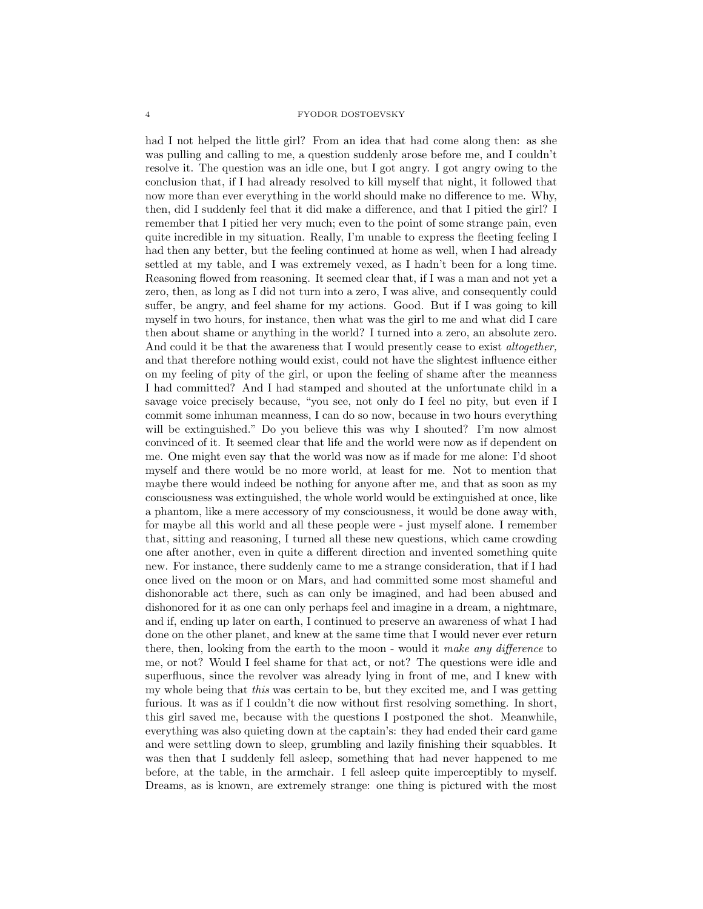had I not helped the little girl? From an idea that had come along then: as she was pulling and calling to me, a question suddenly arose before me, and I couldn't resolve it. The question was an idle one, but I got angry. I got angry owing to the conclusion that, if I had already resolved to kill myself that night, it followed that now more than ever everything in the world should make no difference to me. Why, then, did I suddenly feel that it did make a difference, and that I pitied the girl? I remember that I pitied her very much; even to the point of some strange pain, even quite incredible in my situation. Really, I'm unable to express the fleeting feeling I had then any better, but the feeling continued at home as well, when I had already settled at my table, and I was extremely vexed, as I hadn't been for a long time. Reasoning flowed from reasoning. It seemed clear that, if I was a man and not yet a zero, then, as long as I did not turn into a zero, I was alive, and consequently could suffer, be angry, and feel shame for my actions. Good. But if I was going to kill myself in two hours, for instance, then what was the girl to me and what did I care then about shame or anything in the world? I turned into a zero, an absolute zero. And could it be that the awareness that I would presently cease to exist *altogether*, and that therefore nothing would exist, could not have the slightest influence either on my feeling of pity of the girl, or upon the feeling of shame after the meanness I had committed? And I had stamped and shouted at the unfortunate child in a savage voice precisely because, "you see, not only do I feel no pity, but even if I commit some inhuman meanness, I can do so now, because in two hours everything will be extinguished." Do you believe this was why I shouted? I'm now almost convinced of it. It seemed clear that life and the world were now as if dependent on me. One might even say that the world was now as if made for me alone: I'd shoot myself and there would be no more world, at least for me. Not to mention that maybe there would indeed be nothing for anyone after me, and that as soon as my consciousness was extinguished, the whole world would be extinguished at once, like a phantom, like a mere accessory of my consciousness, it would be done away with, for maybe all this world and all these people were - just myself alone. I remember that, sitting and reasoning, I turned all these new questions, which came crowding one after another, even in quite a different direction and invented something quite new. For instance, there suddenly came to me a strange consideration, that if I had once lived on the moon or on Mars, and had committed some most shameful and dishonorable act there, such as can only be imagined, and had been abused and dishonored for it as one can only perhaps feel and imagine in a dream, a nightmare, and if, ending up later on earth, I continued to preserve an awareness of what I had done on the other planet, and knew at the same time that I would never ever return there, then, looking from the earth to the moon - would it make any difference to me, or not? Would I feel shame for that act, or not? The questions were idle and superfluous, since the revolver was already lying in front of me, and I knew with my whole being that this was certain to be, but they excited me, and I was getting furious. It was as if I couldn't die now without first resolving something. In short, this girl saved me, because with the questions I postponed the shot. Meanwhile, everything was also quieting down at the captain's: they had ended their card game and were settling down to sleep, grumbling and lazily finishing their squabbles. It was then that I suddenly fell asleep, something that had never happened to me before, at the table, in the armchair. I fell asleep quite imperceptibly to myself. Dreams, as is known, are extremely strange: one thing is pictured with the most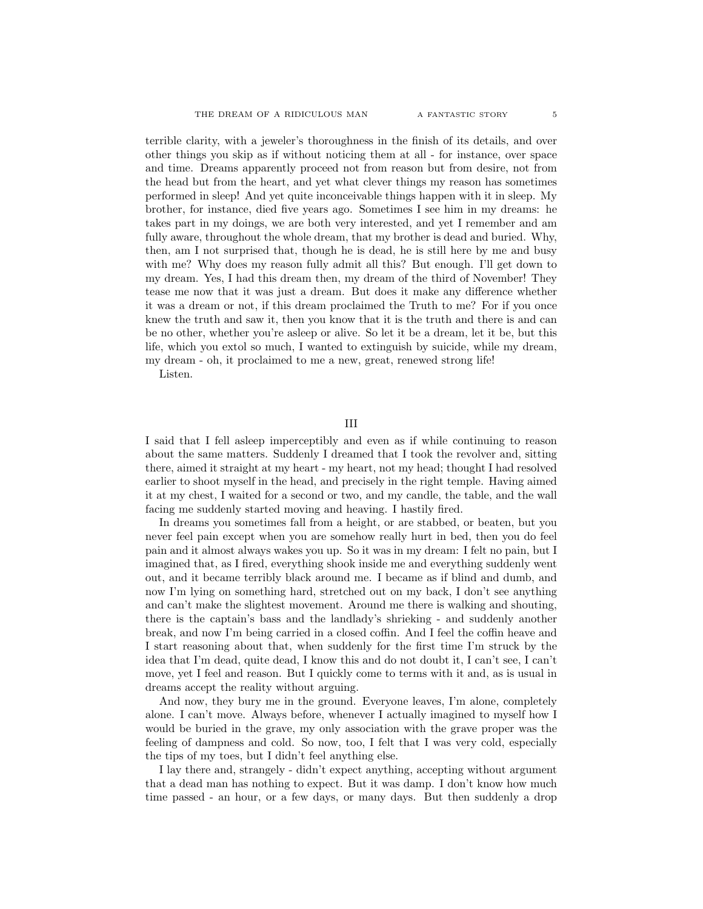terrible clarity, with a jeweler's thoroughness in the finish of its details, and over other things you skip as if without noticing them at all - for instance, over space and time. Dreams apparently proceed not from reason but from desire, not from the head but from the heart, and yet what clever things my reason has sometimes performed in sleep! And yet quite inconceivable things happen with it in sleep. My brother, for instance, died five years ago. Sometimes I see him in my dreams: he takes part in my doings, we are both very interested, and yet I remember and am fully aware, throughout the whole dream, that my brother is dead and buried. Why, then, am I not surprised that, though he is dead, he is still here by me and busy with me? Why does my reason fully admit all this? But enough. I'll get down to my dream. Yes, I had this dream then, my dream of the third of November! They tease me now that it was just a dream. But does it make any difference whether it was a dream or not, if this dream proclaimed the Truth to me? For if you once knew the truth and saw it, then you know that it is the truth and there is and can be no other, whether you're asleep or alive. So let it be a dream, let it be, but this life, which you extol so much, I wanted to extinguish by suicide, while my dream, my dream - oh, it proclaimed to me a new, great, renewed strong life!

Listen.

# III

I said that I fell asleep imperceptibly and even as if while continuing to reason about the same matters. Suddenly I dreamed that I took the revolver and, sitting there, aimed it straight at my heart - my heart, not my head; thought I had resolved earlier to shoot myself in the head, and precisely in the right temple. Having aimed it at my chest, I waited for a second or two, and my candle, the table, and the wall facing me suddenly started moving and heaving. I hastily fired.

In dreams you sometimes fall from a height, or are stabbed, or beaten, but you never feel pain except when you are somehow really hurt in bed, then you do feel pain and it almost always wakes you up. So it was in my dream: I felt no pain, but I imagined that, as I fired, everything shook inside me and everything suddenly went out, and it became terribly black around me. I became as if blind and dumb, and now I'm lying on something hard, stretched out on my back, I don't see anything and can't make the slightest movement. Around me there is walking and shouting, there is the captain's bass and the landlady's shrieking - and suddenly another break, and now I'm being carried in a closed coffin. And I feel the coffin heave and I start reasoning about that, when suddenly for the first time I'm struck by the idea that I'm dead, quite dead, I know this and do not doubt it, I can't see, I can't move, yet I feel and reason. But I quickly come to terms with it and, as is usual in dreams accept the reality without arguing.

And now, they bury me in the ground. Everyone leaves, I'm alone, completely alone. I can't move. Always before, whenever I actually imagined to myself how I would be buried in the grave, my only association with the grave proper was the feeling of dampness and cold. So now, too, I felt that I was very cold, especially the tips of my toes, but I didn't feel anything else.

I lay there and, strangely - didn't expect anything, accepting without argument that a dead man has nothing to expect. But it was damp. I don't know how much time passed - an hour, or a few days, or many days. But then suddenly a drop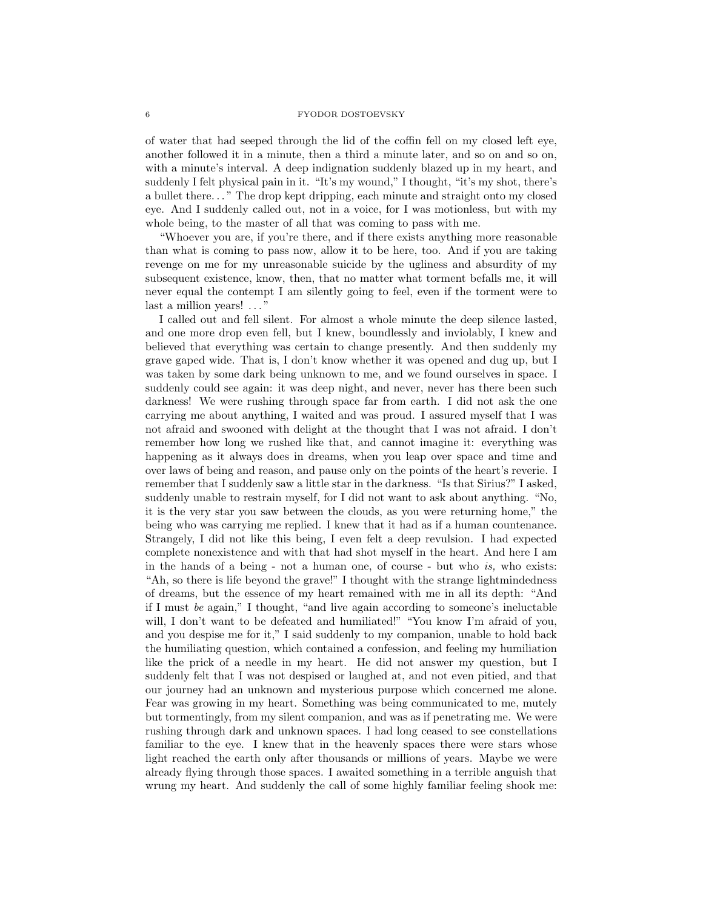of water that had seeped through the lid of the coffin fell on my closed left eye, another followed it in a minute, then a third a minute later, and so on and so on, with a minute's interval. A deep indignation suddenly blazed up in my heart, and suddenly I felt physical pain in it. "It's my wound," I thought, "it's my shot, there's a bullet there. . . " The drop kept dripping, each minute and straight onto my closed eye. And I suddenly called out, not in a voice, for I was motionless, but with my whole being, to the master of all that was coming to pass with me.

"Whoever you are, if you're there, and if there exists anything more reasonable than what is coming to pass now, allow it to be here, too. And if you are taking revenge on me for my unreasonable suicide by the ugliness and absurdity of my subsequent existence, know, then, that no matter what torment befalls me, it will never equal the contempt I am silently going to feel, even if the torment were to last a million years! ..."

I called out and fell silent. For almost a whole minute the deep silence lasted, and one more drop even fell, but I knew, boundlessly and inviolably, I knew and believed that everything was certain to change presently. And then suddenly my grave gaped wide. That is, I don't know whether it was opened and dug up, but I was taken by some dark being unknown to me, and we found ourselves in space. I suddenly could see again: it was deep night, and never, never has there been such darkness! We were rushing through space far from earth. I did not ask the one carrying me about anything, I waited and was proud. I assured myself that I was not afraid and swooned with delight at the thought that I was not afraid. I don't remember how long we rushed like that, and cannot imagine it: everything was happening as it always does in dreams, when you leap over space and time and over laws of being and reason, and pause only on the points of the heart's reverie. I remember that I suddenly saw a little star in the darkness. "Is that Sirius?" I asked, suddenly unable to restrain myself, for I did not want to ask about anything. "No, it is the very star you saw between the clouds, as you were returning home," the being who was carrying me replied. I knew that it had as if a human countenance. Strangely, I did not like this being, I even felt a deep revulsion. I had expected complete nonexistence and with that had shot myself in the heart. And here I am in the hands of a being  $-$  not a human one, of course  $-$  but who is, who exists: "Ah, so there is life beyond the grave!" I thought with the strange lightmindedness of dreams, but the essence of my heart remained with me in all its depth: "And if I must be again," I thought, "and live again according to someone's ineluctable will, I don't want to be defeated and humiliated!" "You know I'm afraid of you, and you despise me for it," I said suddenly to my companion, unable to hold back the humiliating question, which contained a confession, and feeling my humiliation like the prick of a needle in my heart. He did not answer my question, but I suddenly felt that I was not despised or laughed at, and not even pitied, and that our journey had an unknown and mysterious purpose which concerned me alone. Fear was growing in my heart. Something was being communicated to me, mutely but tormentingly, from my silent companion, and was as if penetrating me. We were rushing through dark and unknown spaces. I had long ceased to see constellations familiar to the eye. I knew that in the heavenly spaces there were stars whose light reached the earth only after thousands or millions of years. Maybe we were already flying through those spaces. I awaited something in a terrible anguish that wrung my heart. And suddenly the call of some highly familiar feeling shook me: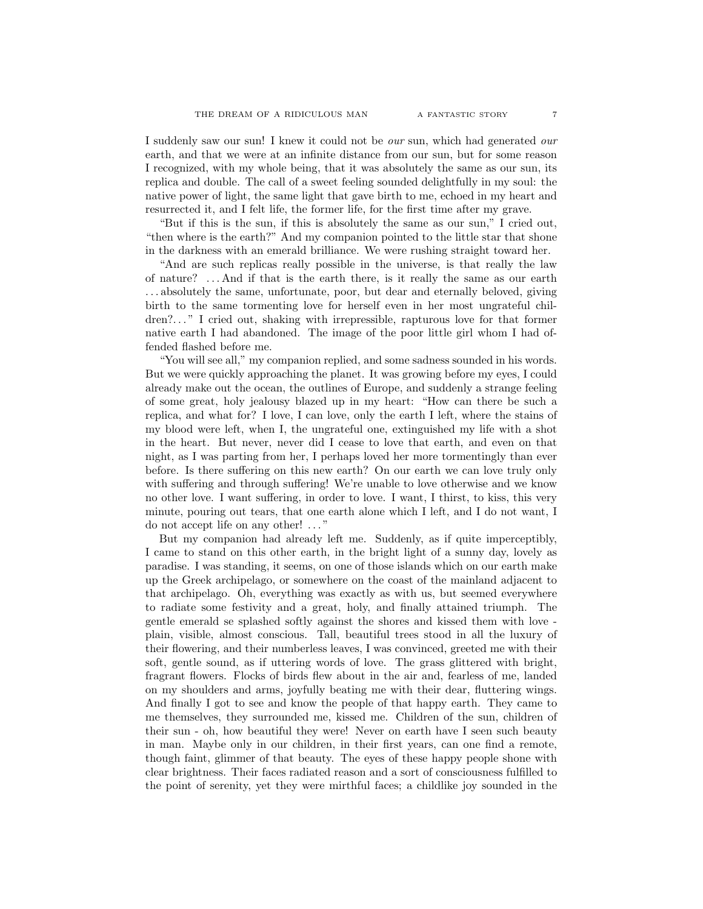I suddenly saw our sun! I knew it could not be our sun, which had generated our earth, and that we were at an infinite distance from our sun, but for some reason I recognized, with my whole being, that it was absolutely the same as our sun, its replica and double. The call of a sweet feeling sounded delightfully in my soul: the native power of light, the same light that gave birth to me, echoed in my heart and resurrected it, and I felt life, the former life, for the first time after my grave.

"But if this is the sun, if this is absolutely the same as our sun," I cried out, "then where is the earth?" And my companion pointed to the little star that shone in the darkness with an emerald brilliance. We were rushing straight toward her.

"And are such replicas really possible in the universe, is that really the law of nature? . . . And if that is the earth there, is it really the same as our earth . . . absolutely the same, unfortunate, poor, but dear and eternally beloved, giving birth to the same tormenting love for herself even in her most ungrateful children?..." I cried out, shaking with irrepressible, rapturous love for that former native earth I had abandoned. The image of the poor little girl whom I had offended flashed before me.

"You will see all," my companion replied, and some sadness sounded in his words. But we were quickly approaching the planet. It was growing before my eyes, I could already make out the ocean, the outlines of Europe, and suddenly a strange feeling of some great, holy jealousy blazed up in my heart: "How can there be such a replica, and what for? I love, I can love, only the earth I left, where the stains of my blood were left, when I, the ungrateful one, extinguished my life with a shot in the heart. But never, never did I cease to love that earth, and even on that night, as I was parting from her, I perhaps loved her more tormentingly than ever before. Is there suffering on this new earth? On our earth we can love truly only with suffering and through suffering! We're unable to love otherwise and we know no other love. I want suffering, in order to love. I want, I thirst, to kiss, this very minute, pouring out tears, that one earth alone which I left, and I do not want, I do not accept life on any other! . . . "

But my companion had already left me. Suddenly, as if quite imperceptibly, I came to stand on this other earth, in the bright light of a sunny day, lovely as paradise. I was standing, it seems, on one of those islands which on our earth make up the Greek archipelago, or somewhere on the coast of the mainland adjacent to that archipelago. Oh, everything was exactly as with us, but seemed everywhere to radiate some festivity and a great, holy, and finally attained triumph. The gentle emerald se splashed softly against the shores and kissed them with love plain, visible, almost conscious. Tall, beautiful trees stood in all the luxury of their flowering, and their numberless leaves, I was convinced, greeted me with their soft, gentle sound, as if uttering words of love. The grass glittered with bright, fragrant flowers. Flocks of birds flew about in the air and, fearless of me, landed on my shoulders and arms, joyfully beating me with their dear, fluttering wings. And finally I got to see and know the people of that happy earth. They came to me themselves, they surrounded me, kissed me. Children of the sun, children of their sun - oh, how beautiful they were! Never on earth have I seen such beauty in man. Maybe only in our children, in their first years, can one find a remote, though faint, glimmer of that beauty. The eyes of these happy people shone with clear brightness. Their faces radiated reason and a sort of consciousness fulfilled to the point of serenity, yet they were mirthful faces; a childlike joy sounded in the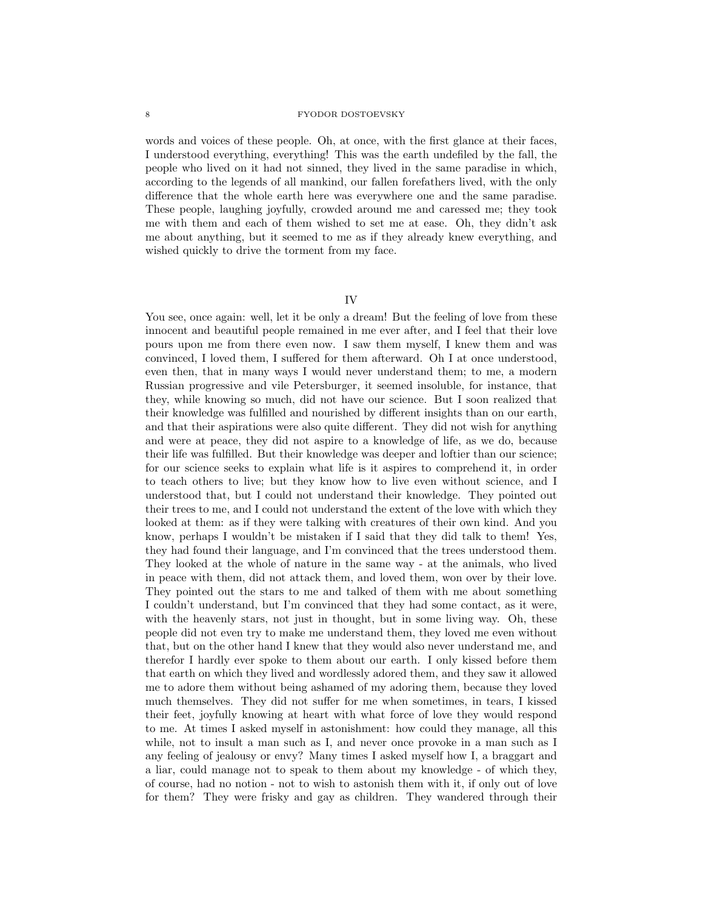words and voices of these people. Oh, at once, with the first glance at their faces, I understood everything, everything! This was the earth undefiled by the fall, the people who lived on it had not sinned, they lived in the same paradise in which, according to the legends of all mankind, our fallen forefathers lived, with the only difference that the whole earth here was everywhere one and the same paradise. These people, laughing joyfully, crowded around me and caressed me; they took me with them and each of them wished to set me at ease. Oh, they didn't ask me about anything, but it seemed to me as if they already knew everything, and wished quickly to drive the torment from my face.

# IV

You see, once again: well, let it be only a dream! But the feeling of love from these innocent and beautiful people remained in me ever after, and I feel that their love pours upon me from there even now. I saw them myself, I knew them and was convinced, I loved them, I suffered for them afterward. Oh I at once understood, even then, that in many ways I would never understand them; to me, a modern Russian progressive and vile Petersburger, it seemed insoluble, for instance, that they, while knowing so much, did not have our science. But I soon realized that their knowledge was fulfilled and nourished by different insights than on our earth, and that their aspirations were also quite different. They did not wish for anything and were at peace, they did not aspire to a knowledge of life, as we do, because their life was fulfilled. But their knowledge was deeper and loftier than our science; for our science seeks to explain what life is it aspires to comprehend it, in order to teach others to live; but they know how to live even without science, and I understood that, but I could not understand their knowledge. They pointed out their trees to me, and I could not understand the extent of the love with which they looked at them: as if they were talking with creatures of their own kind. And you know, perhaps I wouldn't be mistaken if I said that they did talk to them! Yes, they had found their language, and I'm convinced that the trees understood them. They looked at the whole of nature in the same way - at the animals, who lived in peace with them, did not attack them, and loved them, won over by their love. They pointed out the stars to me and talked of them with me about something I couldn't understand, but I'm convinced that they had some contact, as it were, with the heavenly stars, not just in thought, but in some living way. Oh, these people did not even try to make me understand them, they loved me even without that, but on the other hand I knew that they would also never understand me, and therefor I hardly ever spoke to them about our earth. I only kissed before them that earth on which they lived and wordlessly adored them, and they saw it allowed me to adore them without being ashamed of my adoring them, because they loved much themselves. They did not suffer for me when sometimes, in tears, I kissed their feet, joyfully knowing at heart with what force of love they would respond to me. At times I asked myself in astonishment: how could they manage, all this while, not to insult a man such as I, and never once provoke in a man such as I any feeling of jealousy or envy? Many times I asked myself how I, a braggart and a liar, could manage not to speak to them about my knowledge - of which they, of course, had no notion - not to wish to astonish them with it, if only out of love for them? They were frisky and gay as children. They wandered through their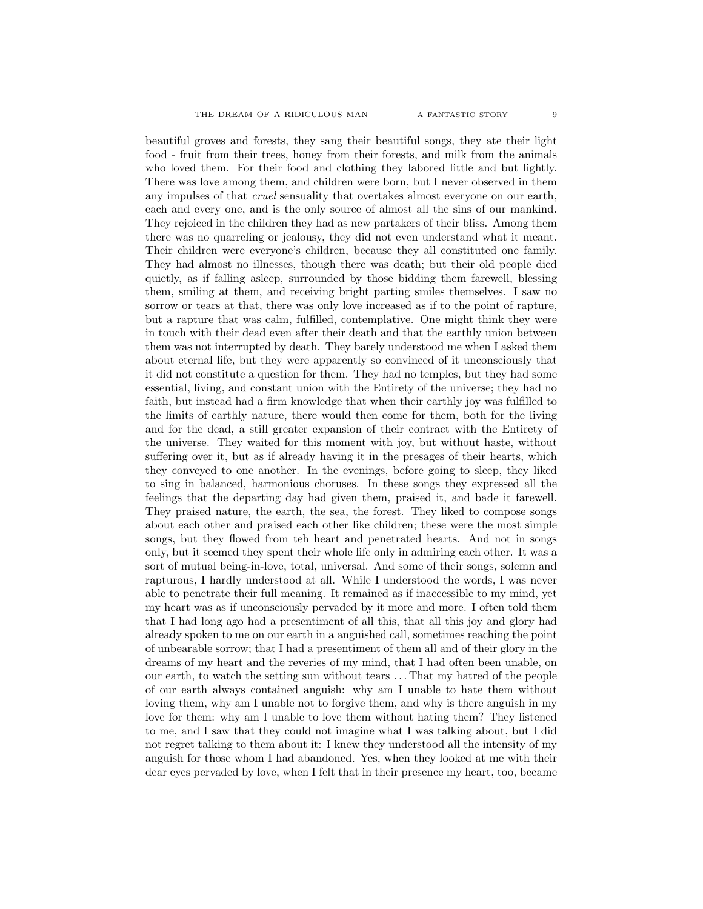beautiful groves and forests, they sang their beautiful songs, they ate their light food - fruit from their trees, honey from their forests, and milk from the animals who loved them. For their food and clothing they labored little and but lightly. There was love among them, and children were born, but I never observed in them any impulses of that cruel sensuality that overtakes almost everyone on our earth, each and every one, and is the only source of almost all the sins of our mankind. They rejoiced in the children they had as new partakers of their bliss. Among them there was no quarreling or jealousy, they did not even understand what it meant. Their children were everyone's children, because they all constituted one family. They had almost no illnesses, though there was death; but their old people died quietly, as if falling asleep, surrounded by those bidding them farewell, blessing them, smiling at them, and receiving bright parting smiles themselves. I saw no sorrow or tears at that, there was only love increased as if to the point of rapture, but a rapture that was calm, fulfilled, contemplative. One might think they were in touch with their dead even after their death and that the earthly union between them was not interrupted by death. They barely understood me when I asked them about eternal life, but they were apparently so convinced of it unconsciously that it did not constitute a question for them. They had no temples, but they had some essential, living, and constant union with the Entirety of the universe; they had no faith, but instead had a firm knowledge that when their earthly joy was fulfilled to the limits of earthly nature, there would then come for them, both for the living and for the dead, a still greater expansion of their contract with the Entirety of the universe. They waited for this moment with joy, but without haste, without suffering over it, but as if already having it in the presages of their hearts, which they conveyed to one another. In the evenings, before going to sleep, they liked to sing in balanced, harmonious choruses. In these songs they expressed all the feelings that the departing day had given them, praised it, and bade it farewell. They praised nature, the earth, the sea, the forest. They liked to compose songs about each other and praised each other like children; these were the most simple songs, but they flowed from teh heart and penetrated hearts. And not in songs only, but it seemed they spent their whole life only in admiring each other. It was a sort of mutual being-in-love, total, universal. And some of their songs, solemn and rapturous, I hardly understood at all. While I understood the words, I was never able to penetrate their full meaning. It remained as if inaccessible to my mind, yet my heart was as if unconsciously pervaded by it more and more. I often told them that I had long ago had a presentiment of all this, that all this joy and glory had already spoken to me on our earth in a anguished call, sometimes reaching the point of unbearable sorrow; that I had a presentiment of them all and of their glory in the dreams of my heart and the reveries of my mind, that I had often been unable, on our earth, to watch the setting sun without tears . . . That my hatred of the people of our earth always contained anguish: why am I unable to hate them without loving them, why am I unable not to forgive them, and why is there anguish in my love for them: why am I unable to love them without hating them? They listened to me, and I saw that they could not imagine what I was talking about, but I did not regret talking to them about it: I knew they understood all the intensity of my anguish for those whom I had abandoned. Yes, when they looked at me with their dear eyes pervaded by love, when I felt that in their presence my heart, too, became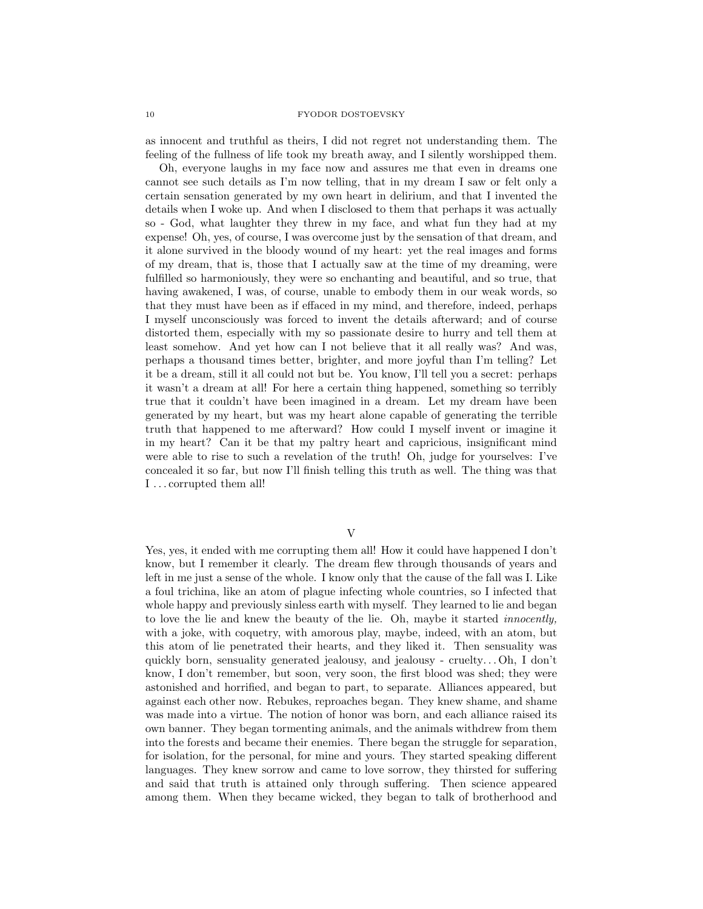as innocent and truthful as theirs, I did not regret not understanding them. The feeling of the fullness of life took my breath away, and I silently worshipped them.

Oh, everyone laughs in my face now and assures me that even in dreams one cannot see such details as I'm now telling, that in my dream I saw or felt only a certain sensation generated by my own heart in delirium, and that I invented the details when I woke up. And when I disclosed to them that perhaps it was actually so - God, what laughter they threw in my face, and what fun they had at my expense! Oh, yes, of course, I was overcome just by the sensation of that dream, and it alone survived in the bloody wound of my heart: yet the real images and forms of my dream, that is, those that I actually saw at the time of my dreaming, were fulfilled so harmoniously, they were so enchanting and beautiful, and so true, that having awakened, I was, of course, unable to embody them in our weak words, so that they must have been as if effaced in my mind, and therefore, indeed, perhaps I myself unconsciously was forced to invent the details afterward; and of course distorted them, especially with my so passionate desire to hurry and tell them at least somehow. And yet how can I not believe that it all really was? And was, perhaps a thousand times better, brighter, and more joyful than I'm telling? Let it be a dream, still it all could not but be. You know, I'll tell you a secret: perhaps it wasn't a dream at all! For here a certain thing happened, something so terribly true that it couldn't have been imagined in a dream. Let my dream have been generated by my heart, but was my heart alone capable of generating the terrible truth that happened to me afterward? How could I myself invent or imagine it in my heart? Can it be that my paltry heart and capricious, insignificant mind were able to rise to such a revelation of the truth! Oh, judge for yourselves: I've concealed it so far, but now I'll finish telling this truth as well. The thing was that I . . . corrupted them all!

V

Yes, yes, it ended with me corrupting them all! How it could have happened I don't know, but I remember it clearly. The dream flew through thousands of years and left in me just a sense of the whole. I know only that the cause of the fall was I. Like a foul trichina, like an atom of plague infecting whole countries, so I infected that whole happy and previously sinless earth with myself. They learned to lie and began to love the lie and knew the beauty of the lie. Oh, maybe it started innocently, with a joke, with coquetry, with amorous play, maybe, indeed, with an atom, but this atom of lie penetrated their hearts, and they liked it. Then sensuality was quickly born, sensuality generated jealousy, and jealousy - cruelty. . . Oh, I don't know, I don't remember, but soon, very soon, the first blood was shed; they were astonished and horrified, and began to part, to separate. Alliances appeared, but against each other now. Rebukes, reproaches began. They knew shame, and shame was made into a virtue. The notion of honor was born, and each alliance raised its own banner. They began tormenting animals, and the animals withdrew from them into the forests and became their enemies. There began the struggle for separation, for isolation, for the personal, for mine and yours. They started speaking different languages. They knew sorrow and came to love sorrow, they thirsted for suffering and said that truth is attained only through suffering. Then science appeared among them. When they became wicked, they began to talk of brotherhood and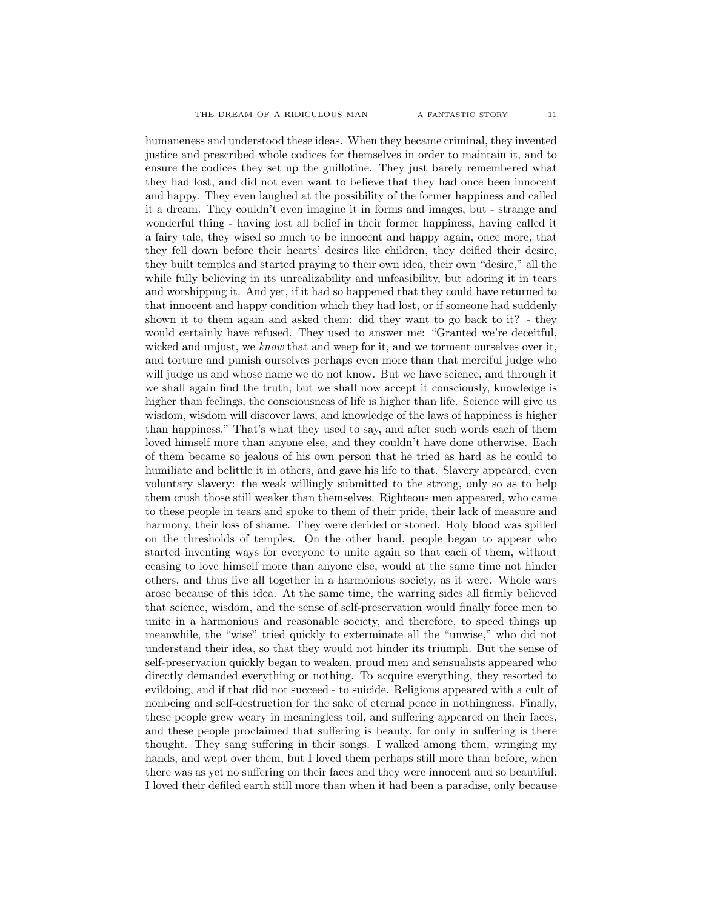humaneness and understood these ideas. When they became criminal, they invented justice and prescribed whole codices for themselves in order to maintain it, and to ensure the codices they set up the guillotine. They just barely remembered what they had lost, and did not even want to believe that they had once been innocent and happy. They even laughed at the possibility of the former happiness and called it a dream. They couldn't even imagine it in forms and images, but - strange and wonderful thing - having lost all belief in their former happiness, having called it a fairy tale, they wised so much to be innocent and happy again, once more, that they fell down before their hearts' desires like children, they deified their desire, they built temples and started praying to their own idea, their own "desire," all the while fully believing in its unrealizability and unfeasibility, but adoring it in tears and worshipping it. And yet, if it had so happened that they could have returned to that innocent and happy condition which they had lost, or if someone had suddenly shown it to them again and asked them: did they want to go back to it? - they would certainly have refused. They used to answer me: "Granted we're deceitful, wicked and unjust, we know that and weep for it, and we torment ourselves over it, and torture and punish ourselves perhaps even more than that merciful judge who will judge us and whose name we do not know. But we have science, and through it we shall again find the truth, but we shall now accept it consciously, knowledge is higher than feelings, the consciousness of life is higher than life. Science will give us wisdom, wisdom will discover laws, and knowledge of the laws of happiness is higher than happiness." That's what they used to say, and after such words each of them loved himself more than anyone else, and they couldn't have done otherwise. Each of them became so jealous of his own person that he tried as hard as he could to humiliate and belittle it in others, and gave his life to that. Slavery appeared, even voluntary slavery: the weak willingly submitted to the strong, only so as to help them crush those still weaker than themselves. Righteous men appeared, who came to these people in tears and spoke to them of their pride, their lack of measure and harmony, their loss of shame. They were derided or stoned. Holy blood was spilled on the thresholds of temples. On the other hand, people began to appear who started inventing ways for everyone to unite again so that each of them, without ceasing to love himself more than anyone else, would at the same time not hinder others, and thus live all together in a harmonious society, as it were. Whole wars arose because of this idea. At the same time, the warring sides all firmly believed that science, wisdom, and the sense of self-preservation would finally force men to unite in a harmonious and reasonable society, and therefore, to speed things up meanwhile, the "wise" tried quickly to exterminate all the "unwise," who did not understand their idea, so that they would not hinder its triumph. But the sense of self-preservation quickly began to weaken, proud men and sensualists appeared who directly demanded everything or nothing. To acquire everything, they resorted to evildoing, and if that did not succeed - to suicide. Religions appeared with a cult of nonbeing and self-destruction for the sake of eternal peace in nothingness. Finally, these people grew weary in meaningless toil, and suffering appeared on their faces, and these people proclaimed that suffering is beauty, for only in suffering is there thought. They sang suffering in their songs. I walked among them, wringing my hands, and wept over them, but I loved them perhaps still more than before, when there was as yet no suffering on their faces and they were innocent and so beautiful. I loved their defiled earth still more than when it had been a paradise, only because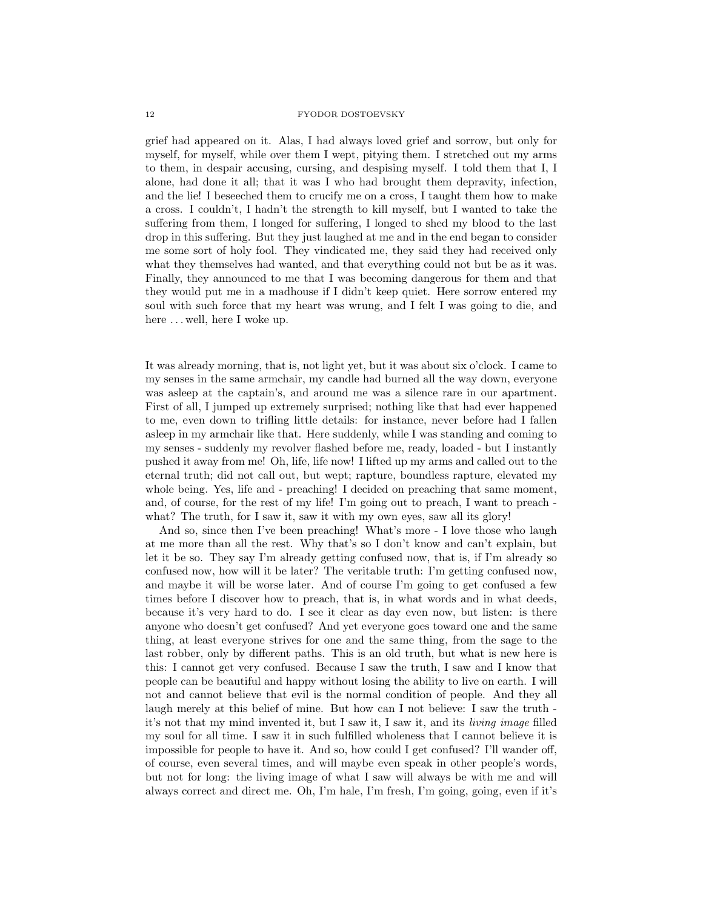grief had appeared on it. Alas, I had always loved grief and sorrow, but only for myself, for myself, while over them I wept, pitying them. I stretched out my arms to them, in despair accusing, cursing, and despising myself. I told them that I, I alone, had done it all; that it was I who had brought them depravity, infection, and the lie! I beseeched them to crucify me on a cross, I taught them how to make a cross. I couldn't, I hadn't the strength to kill myself, but I wanted to take the suffering from them, I longed for suffering, I longed to shed my blood to the last drop in this suffering. But they just laughed at me and in the end began to consider me some sort of holy fool. They vindicated me, they said they had received only what they themselves had wanted, and that everything could not but be as it was. Finally, they announced to me that I was becoming dangerous for them and that they would put me in a madhouse if I didn't keep quiet. Here sorrow entered my soul with such force that my heart was wrung, and I felt I was going to die, and here ... well, here I woke up.

It was already morning, that is, not light yet, but it was about six o'clock. I came to my senses in the same armchair, my candle had burned all the way down, everyone was asleep at the captain's, and around me was a silence rare in our apartment. First of all, I jumped up extremely surprised; nothing like that had ever happened to me, even down to trifling little details: for instance, never before had I fallen asleep in my armchair like that. Here suddenly, while I was standing and coming to my senses - suddenly my revolver flashed before me, ready, loaded - but I instantly pushed it away from me! Oh, life, life now! I lifted up my arms and called out to the eternal truth; did not call out, but wept; rapture, boundless rapture, elevated my whole being. Yes, life and - preaching! I decided on preaching that same moment, and, of course, for the rest of my life! I'm going out to preach, I want to preach what? The truth, for I saw it, saw it with my own eyes, saw all its glory!

And so, since then I've been preaching! What's more - I love those who laugh at me more than all the rest. Why that's so I don't know and can't explain, but let it be so. They say I'm already getting confused now, that is, if I'm already so confused now, how will it be later? The veritable truth: I'm getting confused now, and maybe it will be worse later. And of course I'm going to get confused a few times before I discover how to preach, that is, in what words and in what deeds, because it's very hard to do. I see it clear as day even now, but listen: is there anyone who doesn't get confused? And yet everyone goes toward one and the same thing, at least everyone strives for one and the same thing, from the sage to the last robber, only by different paths. This is an old truth, but what is new here is this: I cannot get very confused. Because I saw the truth, I saw and I know that people can be beautiful and happy without losing the ability to live on earth. I will not and cannot believe that evil is the normal condition of people. And they all laugh merely at this belief of mine. But how can I not believe: I saw the truth it's not that my mind invented it, but I saw it, I saw it, and its living image filled my soul for all time. I saw it in such fulfilled wholeness that I cannot believe it is impossible for people to have it. And so, how could I get confused? I'll wander off, of course, even several times, and will maybe even speak in other people's words, but not for long: the living image of what I saw will always be with me and will always correct and direct me. Oh, I'm hale, I'm fresh, I'm going, going, even if it's